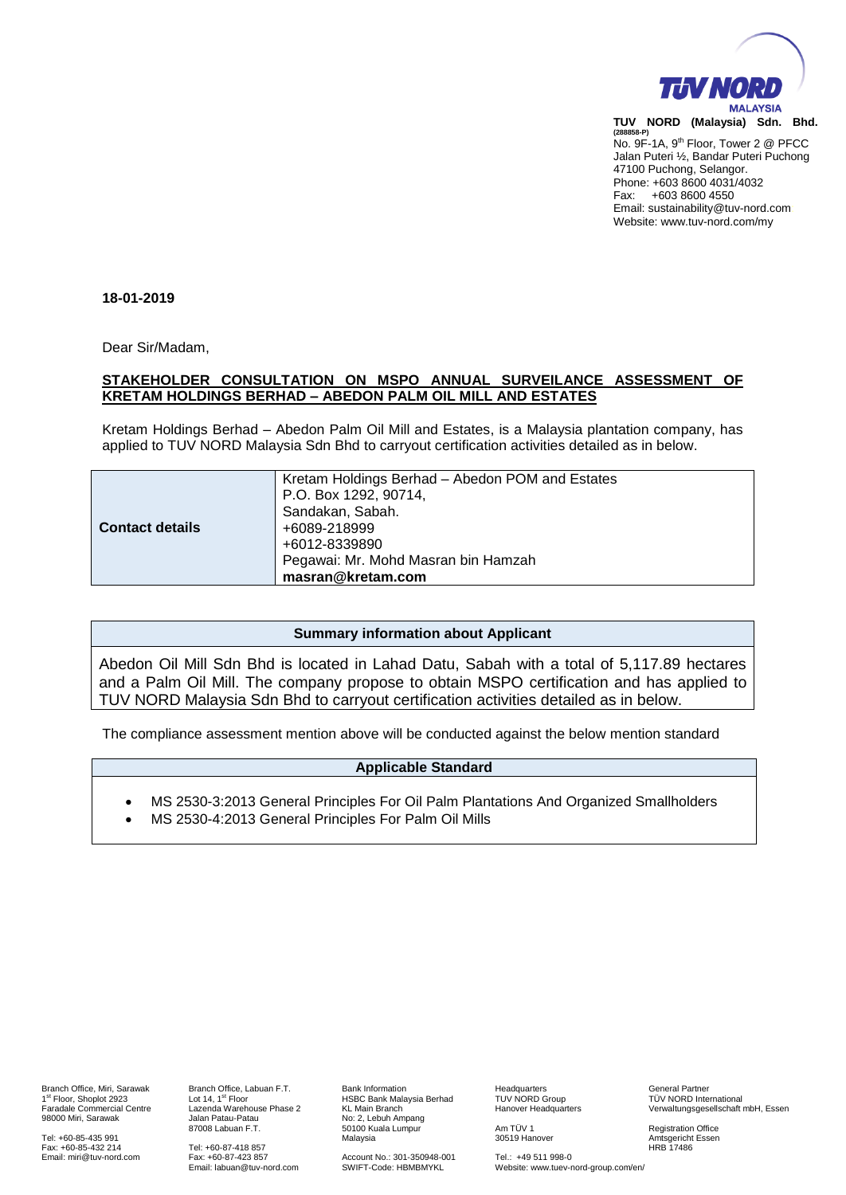

**(288858-P)** No. 9F-1A, 9<sup>th</sup> Floor, Tower 2 @ PFCC Jalan Puteri ½, Bandar Puteri Puchong 47100 Puchong, Selangor. Phone: +603 8600 4031/4032 Fax: +603 8600 4550 Email: sustainability@tuv-nord.com: Website: www.tuv-nord.com/my

### **18-01-2019**

Dear Sir/Madam,

### **STAKEHOLDER CONSULTATION ON MSPO ANNUAL SURVEILANCE ASSESSMENT OF KRETAM HOLDINGS BERHAD – ABEDON PALM OIL MILL AND ESTATES**

Kretam Holdings Berhad – Abedon Palm Oil Mill and Estates, is a Malaysia plantation company, has applied to TUV NORD Malaysia Sdn Bhd to carryout certification activities detailed as in below.

|                        | Kretam Holdings Berhad - Abedon POM and Estates |
|------------------------|-------------------------------------------------|
|                        | P.O. Box 1292, 90714,                           |
|                        | Sandakan, Sabah.                                |
| <b>Contact details</b> | +6089-218999                                    |
|                        | +6012-8339890                                   |
|                        | Pegawai: Mr. Mohd Masran bin Hamzah             |
|                        | masran@kretam.com                               |

# **Summary information about Applicant**

Abedon Oil Mill Sdn Bhd is located in Lahad Datu, Sabah with a total of 5,117.89 hectares and a Palm Oil Mill. The company propose to obtain MSPO certification and has applied to TUV NORD Malaysia Sdn Bhd to carryout certification activities detailed as in below.

The compliance assessment mention above will be conducted against the below mention standard

# **Applicable Standard**

- MS 2530-3:2013 General Principles For Oil Palm Plantations And Organized Smallholders
- MS 2530-4:2013 General Principles For Palm Oil Mills

Branch Office, Miri, Sarawak 1st Floor, Shoplot 2923 Faradale Commercial Centre 98000 Miri, Sarawak

Tel: +60-85-435 991 Fax: +60-85-432 214 Email[: miri@tuv-nord.com](mailto:miri@tuv-nord.com)

Branch Office, Labuan F.T. Lot  $14.1^\text{st}$  Floor Lazenda Warehouse Phase 2 Jalan Patau-Patau 87008 Labuan F.T.

Tel: +60-87-418 857 Fax: +60-87-423 857 Email: labuan@tuv-nord.com Bank Information HSBC Bank Malaysia Berhad KL Main Branch No: 2, Lebuh Ampang 50100 Kuala Lumpur Malaysia

Account No.: 301-350948-001 SWIFT-Code: HBMBMYKL

**Headquarters** TUV NORD Group Hanover Headquarters

Am TÜV 1 30519 Hanover

Tel.: +49 511 998-0 Website: www.tuev-nord-group.com/en/ General Partner TÜV NORD International Verwaltungsgesellschaft mbH, Essen

Registration Office Amtsgericht Essen HRB 17486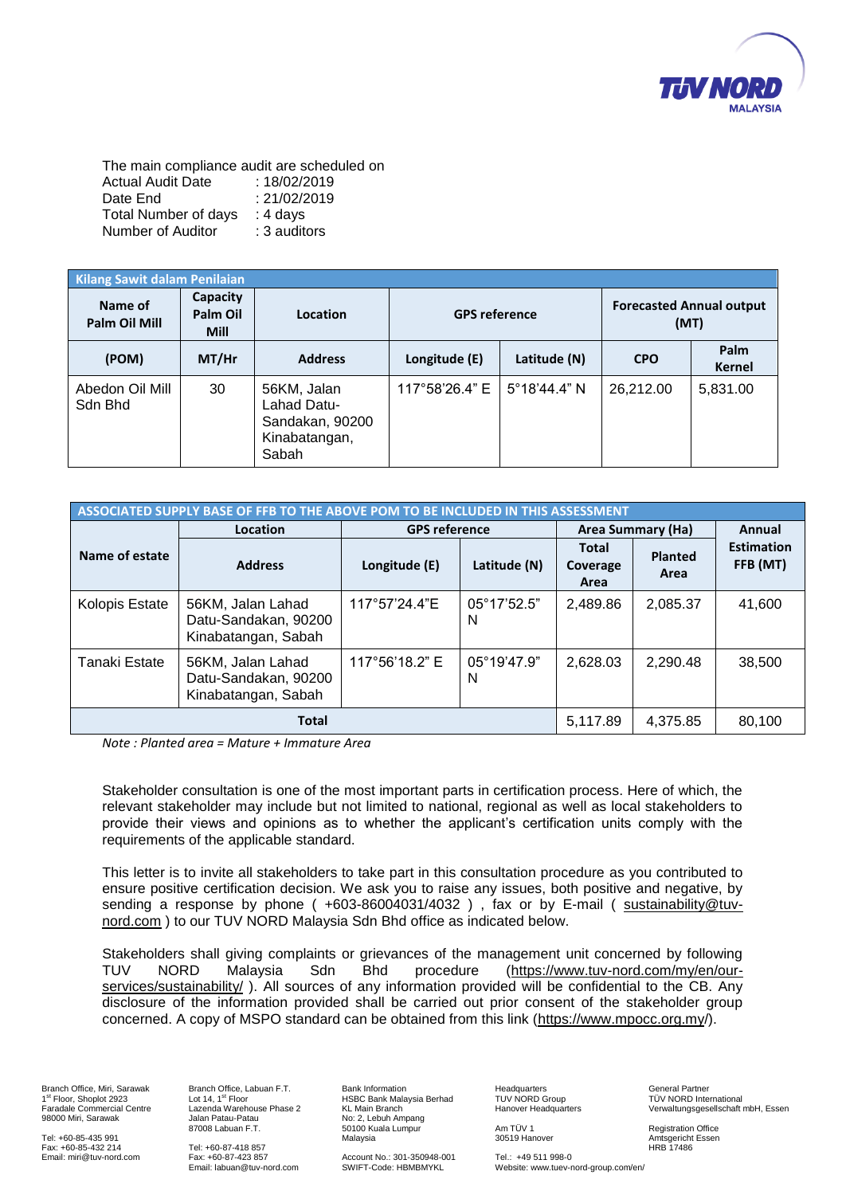

The main compliance audit are scheduled on Actual Audit Date : 18/02/2019 Date End : 21/02/2019 Total Number of days : 4 days Number of Auditor : 3 auditors

| Kilang Sawit dalam Penilaian |                                     |                                                                         |                      |                       |                                         |                |
|------------------------------|-------------------------------------|-------------------------------------------------------------------------|----------------------|-----------------------|-----------------------------------------|----------------|
| Name of<br>Palm Oil Mill     | Capacity<br>Palm Oil<br><b>Mill</b> | Location                                                                | <b>GPS reference</b> |                       | <b>Forecasted Annual output</b><br>(MT) |                |
| (POM)                        | $MT/$ Hr                            | <b>Address</b>                                                          | Longitude (E)        | Latitude (N)          | <b>CPO</b>                              | Palm<br>Kernel |
| Abedon Oil Mill<br>Sdn Bhd   | 30                                  | 56KM, Jalan<br>Lahad Datu-<br>Sandakan, 90200<br>Kinabatangan,<br>Sabah | 117°58'26.4" E       | $5^{\circ}18'44.4"$ N | 26.212.00                               | 5,831.00       |

| <b>ASSOCIATED SUPPLY BASE OF FFB TO THE ABOVE POM TO BE INCLUDED IN THIS ASSESSMENT</b> |                                                                  |                      |                           |                                  |                        |                               |
|-----------------------------------------------------------------------------------------|------------------------------------------------------------------|----------------------|---------------------------|----------------------------------|------------------------|-------------------------------|
|                                                                                         | Location                                                         | <b>GPS reference</b> |                           | <b>Area Summary (Ha)</b>         |                        | Annual                        |
| Name of estate                                                                          | <b>Address</b>                                                   | Longitude (E)        | Latitude (N)              | <b>Total</b><br>Coverage<br>Area | <b>Planted</b><br>Area | <b>Estimation</b><br>FFB (MT) |
| Kolopis Estate                                                                          | 56KM, Jalan Lahad<br>Datu-Sandakan, 90200<br>Kinabatangan, Sabah | 117°57'24.4"E        | $05^{\circ}17'52.5"$<br>N | 2,489.86                         | 2,085.37               | 41,600                        |
| <b>Tanaki Estate</b>                                                                    | 56KM, Jalan Lahad<br>Datu-Sandakan, 90200<br>Kinabatangan, Sabah | 117°56'18.2" E       | $05^{\circ}19'47.9"$<br>N | 2,628.03                         | 2,290.48               | 38,500                        |
|                                                                                         | <b>Total</b>                                                     |                      |                           | 5.117.89                         | 4,375.85               | 80,100                        |

*Note : Planted area = Mature + Immature Area*

Stakeholder consultation is one of the most important parts in certification process. Here of which, the relevant stakeholder may include but not limited to national, regional as well as local stakeholders to provide their views and opinions as to whether the applicant's certification units comply with the requirements of the applicable standard.

ensure positive certification decision. We ask you to raise any issues, both positive and negative, by sending a response by phone ( +603-86004031/4032 ) , fax or by E-mail ( <u>sustainability@tuv-</u>  $\frac{1}{2}$  ordering a Teeperice by Prichet (Trees ecosities), there is by  $\frac{1}{2}$  [nord.com](mailto:sustainability@tuv-nord.com) ) to our TUV NORD Malaysia Sdn Bhd office as indicated below. This letter is to invite all stakeholders to take part in this consultation procedure as you contributed to

Stakeholders shall giving complaints or grievances of the management unit concerned by following Union-besite orial group complements of group.com or intermediagonism can concentred by renorming<br>TUV NORD Malaysia Sdn Bhd procedure [\(https://www.tuv-nord.com/my/en/our](https://www.tuv-nord.com/my/en/our-services/sustainability/)[services/sustainability/](https://www.tuv-nord.com/my/en/our-services/sustainability/)). All sources of any information provided will be confidential to the CB. Any disclosure of the information provided shall be carried out prior consent of the stakeholder group encerned. A copy of MSPO standard can be obtained from this link (https://www.mpocc.org.my/). 30519 Hanover Amtsgericht Essen

Branch Office, Miri, Sarawak 1st Floor, Shoplot 2923 Faradale Commercial Centre 98000 Miri, Sarawak

Tel: +60-85-435 991 Fax: +60-85-432 214 Email[: miri@tuv-nord.com](mailto:miri@tuv-nord.com) Branch Office, Labuan F.T. Lot  $14.1<sup>st</sup>$  Floor Lazenda Warehouse Phase 2 Jalan Patau-Patau 87008 Labuan F.T.

Tel: +60-87-418 857 Fax: +60-87-423 857 Email: labuan@tuv-nord.com Bank Information HSBC Bank Malaysia Berhad KL Main Branch No: 2, Lebuh Ampang 50100 Kuala Lumpur Malaysia

Account No.: 301-350948-001 SWIFT-Code: HBMBMYKL

**Headquarters** TUV NORD Group Hanover Headquarters

Am TÜV 1

30519 Hanover

General Partner TÜV NORD International Verwaltungsgesellschaft mbH, Essen

Registration Office Amtsgericht Essen HRB 17486

Tel.: +49 511 998-0 Website: www.tuev-nord-group.com/en/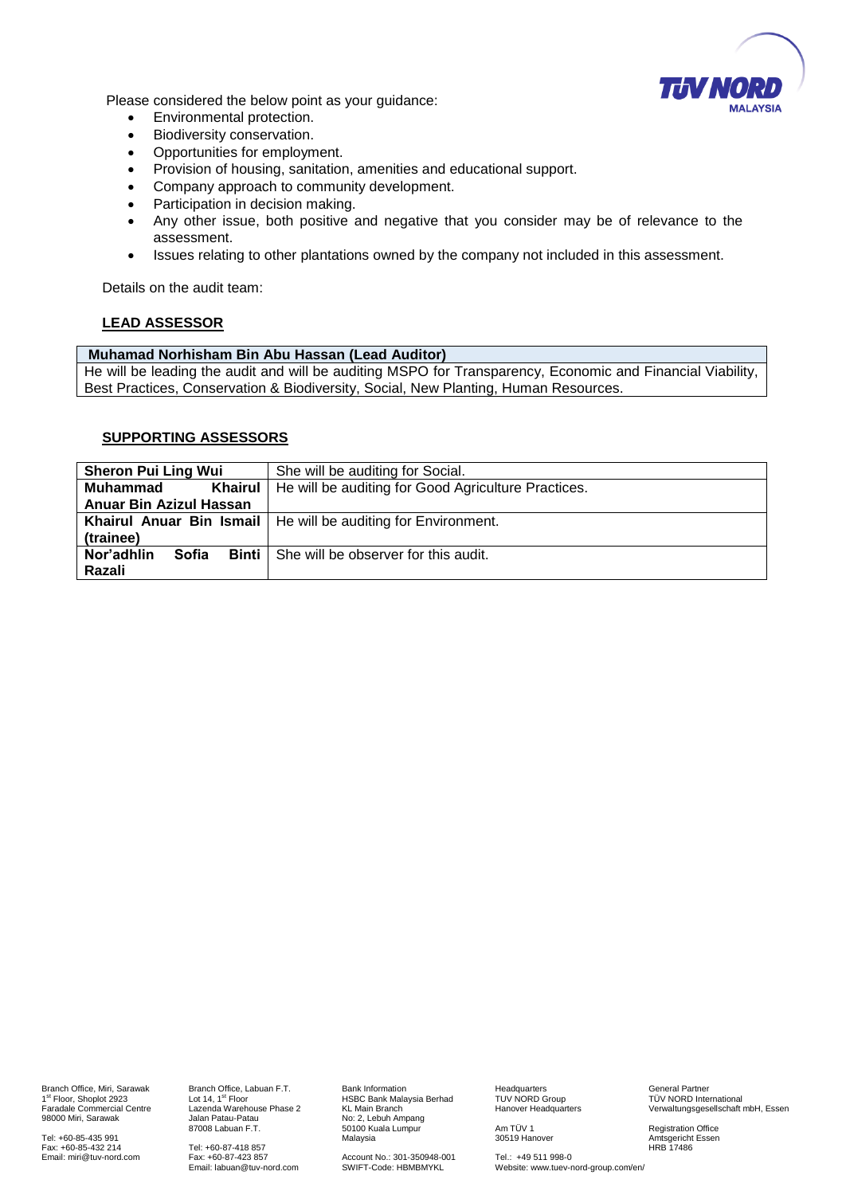

Please considered the below point as your guidance:

- Environmental protection.
- Biodiversity conservation.
- Opportunities for employment.
- Provision of housing, sanitation, amenities and educational support.
- Company approach to community development.
- Participation in decision making.
- Any other issue, both positive and negative that you consider may be of relevance to the assessment.
- Issues relating to other plantations owned by the company not included in this assessment.

Details on the audit team:

### **LEAD ASSESSOR**

### **Muhamad Norhisham Bin Abu Hassan (Lead Auditor)**

He will be leading the audit and will be auditing MSPO for Transparency, Economic and Financial Viability, Best Practices, Conservation & Biodiversity, Social, New Planting, Human Resources.

### **SUPPORTING ASSESSORS**

| <b>Sheron Pui Ling Wui</b> | She will be auditing for Social.                                |  |
|----------------------------|-----------------------------------------------------------------|--|
| Khairul<br>Muhammad        | He will be auditing for Good Agriculture Practices.             |  |
| Anuar Bin Azizul Hassan    |                                                                 |  |
|                            | Khairul Anuar Bin Ismail   He will be auditing for Environment. |  |
| (trainee)                  |                                                                 |  |
| Nor'adhlin<br>Sofia        | <b>Binti</b> She will be observer for this audit.               |  |
| Razali                     |                                                                 |  |

Branch Office, Miri, Sarawak 1st Floor, Shoplot 2923 Faradale Commercial Centre 98000 Miri, Sarawak

Tel: +60-85-435 991 Fax: +60-85-432 214 Email[: miri@tuv-nord.com](mailto:miri@tuv-nord.com) Branch Office, Labuan F.T. Lot  $14.1<sup>st</sup>$  Floor Lazenda Warehouse Phase 2 Jalan Patau-Patau 87008 Labuan F.T.

Tel: +60-87-418 857 Fax: +60-87-423 857 Email: labuan@tuv-nord.com Bank Information HSBC Bank Malaysia Berhad KL Main Branch No: 2, Lebuh Ampang 50100 Kuala Lumpur Malaysia

Account No.: 301-350948-001 SWIFT-Code: HBMBMYKL

**Headquarters** TUV NORD Group Hanover Headquarters

Am TÜV 1 30519 Hanover

Tel.: +49 511 998-0

Website: www.tuev-nord-group.com/en/

General Partner TÜV NORD International Verwaltungsgesellschaft mbH, Essen

Registration Office Amtsgericht Essen HRB 17486